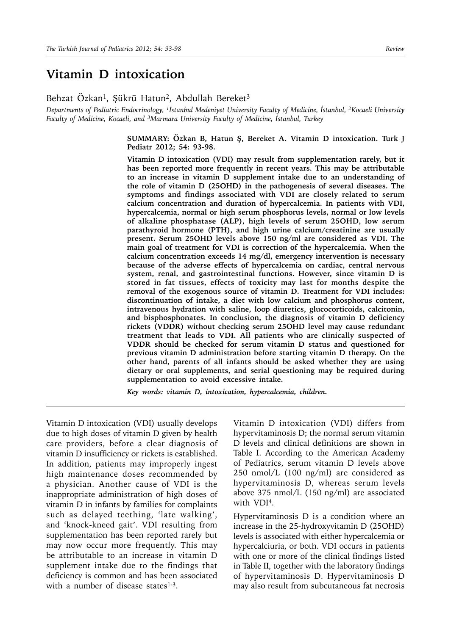# **Vitamin D intoxication**

Behzat Özkan<sup>1</sup>, Şükrü Hatun<sup>2</sup>, Abdullah Bereket<sup>3</sup>

*Departments of Pediatric Endocrinology, 1İstanbul Medeniyet University Faculty of Medicine, İstanbul, 2Kocaeli University Faculty of Medicine, Kocaeli, and 3Marmara University Faculty of Medicine, İstanbul, Turkey*

> **SUMMARY: Özkan B, Hatun Ş, Bereket A. Vitamin D intoxication. Turk J Pediatr 2012; 54: 93-98.**

> **Vitamin D intoxication (VDI) may result from supplementation rarely, but it has been reported more frequently in recent years. This may be attributable to an increase in vitamin D supplement intake due to an understanding of the role of vitamin D (25OHD) in the pathogenesis of several diseases. The symptoms and findings associated with VDI are closely related to serum calcium concentration and duration of hypercalcemia. In patients with VDI, hypercalcemia, normal or high serum phosphorus levels, normal or low levels of alkaline phosphatase (ALP), high levels of serum 25OHD, low serum parathyroid hormone (PTH), and high urine calcium/creatinine are usually present. Serum 25OHD levels above 150 ng/ml are considered as VDI. The main goal of treatment for VDI is correction of the hypercalcemia. When the calcium concentration exceeds 14 mg/dl, emergency intervention is necessary because of the adverse effects of hypercalcemia on cardiac, central nervous system, renal, and gastrointestinal functions. However, since vitamin D is stored in fat tissues, effects of toxicity may last for months despite the removal of the exogenous source of vitamin D. Treatment for VDI includes: discontinuation of intake, a diet with low calcium and phosphorus content, intravenous hydration with saline, loop diuretics, glucocorticoids, calcitonin, and bisphosphonates. In conclusion, the diagnosis of vitamin D deficiency rickets (VDDR) without checking serum 25OHD level may cause redundant treatment that leads to VDI. All patients who are clinically suspected of VDDR should be checked for serum vitamin D status and questioned for previous vitamin D administration before starting vitamin D therapy. On the other hand, parents of all infants should be asked whether they are using dietary or oral supplements, and serial questioning may be required during supplementation to avoid excessive intake.**

*Key words: vitamin D, intoxication, hypercalcemia, children.*

Vitamin D intoxication (VDI) usually develops due to high doses of vitamin D given by health care providers, before a clear diagnosis of vitamin D insufficiency or rickets is established. In addition, patients may improperly ingest high maintenance doses recommended by a physician. Another cause of VDI is the inappropriate administration of high doses of vitamin D in infants by families for complaints such as delayed teething, 'late walking', and 'knock-kneed gait'. VDI resulting from supplementation has been reported rarely but may now occur more frequently. This may be attributable to an increase in vitamin D supplement intake due to the findings that deficiency is common and has been associated with a number of disease states $1-3$ .

Vitamin D intoxication (VDI) differs from hypervitaminosis D; the normal serum vitamin D levels and clinical definitions are shown in Table I. According to the American Academy of Pediatrics, serum vitamin D levels above 250 nmol/L (100 ng/ml) are considered as hypervitaminosis D, whereas serum levels above 375 nmol/L (150 ng/ml) are associated with VDI4.

Hypervitaminosis D is a condition where an increase in the 25-hydroxyvitamin D (25OHD) levels is associated with either hypercalcemia or hypercalciuria, or both. VDI occurs in patients with one or more of the clinical findings listed in Table II, together with the laboratory findings of hypervitaminosis D. Hypervitaminosis D may also result from subcutaneous fat necrosis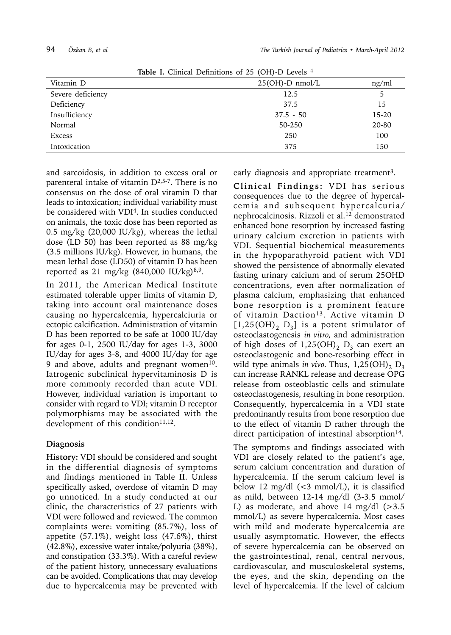| <b>Rapic 1.</b> Chinear Demintions of 25 (OTI)-D Levels |                    |       |  |  |
|---------------------------------------------------------|--------------------|-------|--|--|
| Vitamin D                                               | $25(OH)$ -D nmol/L | ng/ml |  |  |
| Severe deficiency                                       | 12.5               | 5     |  |  |
| Deficiency                                              | 37.5               | 15    |  |  |
| Insufficiency                                           | $37.5 - 50$        | 15-20 |  |  |
| Normal                                                  | 50-250             | 20-80 |  |  |
| Excess                                                  | 250                | 100   |  |  |
| Intoxication                                            | 375                | 150   |  |  |

**Table I.** Clinical Definitions of 25 (OH)-D Levels 4

and sarcoidosis, in addition to excess oral or parenteral intake of vitamin  $D^{2,5-7}$ . There is no consensus on the dose of oral vitamin D that leads to intoxication; individual variability must be considered with VDI4. In studies conducted on animals, the toxic dose has been reported as 0.5 mg/kg (20,000 IU/kg), whereas the lethal dose (LD 50) has been reported as 88 mg/kg (3.5 millions IU/kg). However, in humans, the mean lethal dose (LD50) of vitamin D has been reported as 21 mg/kg  $(840,000 \text{ IU/kg})^{8,9}$ .

In 2011, the American Medical Institute estimated tolerable upper limits of vitamin D, taking into account oral maintenance doses causing no hypercalcemia, hypercalciuria or ectopic calcification. Administration of vitamin D has been reported to be safe at 1000 IU/day for ages 0-1, 2500 IU/day for ages 1-3, 3000 IU/day for ages 3-8, and 4000 IU/day for age 9 and above, adults and pregnant women $10$ . Iatrogenic subclinical hypervitaminosis D is more commonly recorded than acute VDI. However, individual variation is important to consider with regard to VDI; vitamin D receptor polymorphisms may be associated with the development of this condition $11,12$ .

## **Diagnosis**

**History:** VDI should be considered and sought in the differential diagnosis of symptoms and findings mentioned in Table II. Unless specifically asked, overdose of vitamin D may go unnoticed. In a study conducted at our clinic, the characteristics of 27 patients with VDI were followed and reviewed. The common complaints were: vomiting (85.7%), loss of appetite  $(57.1\%)$ , weight loss  $(47.6\%)$ , thirst (42.8%), excessive water intake/polyuria (38%), and constipation (33.3%). With a careful review of the patient history, unnecessary evaluations can be avoided. Complications that may develop due to hypercalcemia may be prevented with

early diagnosis and appropriate treatment<sup>3</sup>.

**Clinical Findings:** VDI has serious consequences due to the degree of hypercalcemia and subsequent hypercalcuria/ nephrocalcinosis. Rizzoli et al.<sup>12</sup> demonstrated enhanced bone resorption by increased fasting urinary calcium excretion in patients with VDI. Sequential biochemical measurements in the hypoparathyroid patient with VDI showed the persistence of abnormally elevated fasting urinary calcium and of serum 25OHD concentrations, even after normalization of plasma calcium, emphasizing that enhanced bone resorption is a prominent feature of vitamin Daction<sup>13</sup>. Active vitamin D  $[1,25(OH)<sub>2</sub> D<sub>3</sub>]$  is a potent stimulator of osteoclastogenesis *in vitro,* and administration of high doses of  $1,25(OH)$ <sub>2</sub> D<sub>3</sub> can exert an osteoclastogenic and bone-resorbing effect in wild type animals *in vivo*. Thus,  $1,25(OH)$ ,  $D_3$ can increase RANKL release and decrease OPG release from osteoblastic cells and stimulate osteoclastogenesis, resulting in bone resorption. Consequently, hypercalcemia in a VDI state predominantly results from bone resorption due to the effect of vitamin D rather through the direct participation of intestinal absorption<sup>14</sup>.

The symptoms and findings associated with VDI are closely related to the patient's age, serum calcium concentration and duration of hypercalcemia. If the serum calcium level is below 12 mg/dl (<3 mmol/L), it is classified as mild, between 12-14 mg/dl (3-3.5 mmol/ L) as moderate, and above 14 mg/dl  $(>3.5)$ mmol/L) as severe hypercalcemia. Most cases with mild and moderate hypercalcemia are usually asymptomatic. However, the effects of severe hypercalcemia can be observed on the gastrointestinal, renal, central nervous, cardiovascular, and musculoskeletal systems, the eyes, and the skin, depending on the level of hypercalcemia. If the level of calcium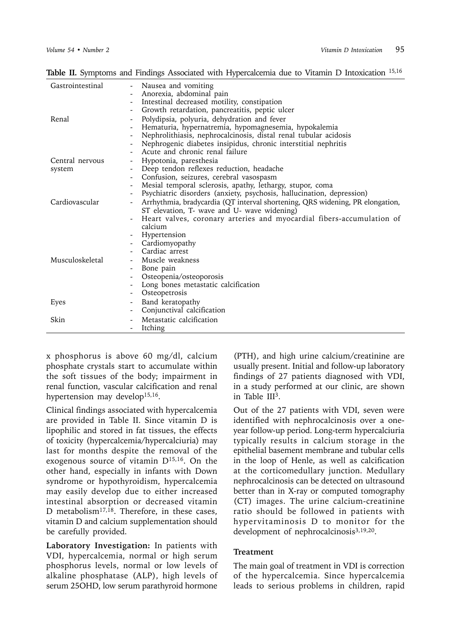Table II. Symptoms and Findings Associated with Hypercalcemia due to Vitamin D Intoxication 15,16

| Gastrointestinal | Nausea and vomiting<br>$\overline{\phantom{a}}$<br>Anorexia, abdominal pain                                                  |
|------------------|------------------------------------------------------------------------------------------------------------------------------|
|                  | Intestinal decreased motility, constipation                                                                                  |
|                  | Growth retardation, pancreatitis, peptic ulcer<br>$\overline{\phantom{a}}$                                                   |
| Renal            | Polydipsia, polyuria, dehydration and fever                                                                                  |
|                  | $\overline{\phantom{a}}$<br>Hematuria, hypernatremia, hypomagnesemia, hypokalemia                                            |
|                  | $\overline{\phantom{a}}$<br>Nephrolithiasis, nephrocalcinosis, distal renal tubular acidosis                                 |
|                  | Nephrogenic diabetes insipidus, chronic interstitial nephritis                                                               |
|                  | Acute and chronic renal failure                                                                                              |
| Central nervous  | Hypotonia, paresthesia<br>-                                                                                                  |
| system           | Deep tendon reflexes reduction, headache<br>$\overline{\phantom{a}}$                                                         |
|                  | Confusion, seizures, cerebral vasospasm                                                                                      |
|                  | Mesial temporal sclerosis, apathy, lethargy, stupor, coma                                                                    |
|                  | Psychiatric disorders (anxiety, psychosis, hallucination, depression)                                                        |
| Cardiovascular   | Arrhythmia, bradycardia (QT interval shortening, QRS widening, PR elongation,<br>ST elevation, T- wave and U- wave widening) |
|                  | Heart valves, coronary arteries and myocardial fibers-accumulation of<br>calcium                                             |
|                  | Hypertension                                                                                                                 |
|                  | Cardiomyopathy                                                                                                               |
|                  | Cardiac arrest                                                                                                               |
| Musculoskeletal  | Muscle weakness                                                                                                              |
|                  | Bone pain<br>-                                                                                                               |
|                  | Osteopenia/osteoporosis                                                                                                      |
|                  | Long bones metastatic calcification                                                                                          |
|                  | Osteopetrosis<br>$\overline{\phantom{a}}$                                                                                    |
| Eyes             | Band keratopathy                                                                                                             |
|                  | Conjunctival calcification<br>$\overline{\phantom{a}}$                                                                       |
| Skin             | Metastatic calcification                                                                                                     |
|                  | Itching                                                                                                                      |

x phosphorus is above 60 mg/dl, calcium phosphate crystals start to accumulate within the soft tissues of the body; impairment in renal function, vascular calcification and renal hypertension may develop<sup>15,16</sup>.

Clinical findings associated with hypercalcemia are provided in Table II. Since vitamin D is lipophilic and stored in fat tissues, the effects of toxicity (hypercalcemia/hypercalciuria) may last for months despite the removal of the exogenous source of vitamin  $D^{15,16}$ . On the other hand, especially in infants with Down syndrome or hypothyroidism, hypercalcemia may easily develop due to either increased intestinal absorption or decreased vitamin D metabolism<sup>17,18</sup>. Therefore, in these cases, vitamin D and calcium supplementation should be carefully provided.

**Laboratory Investigation:** In patients with VDI, hypercalcemia, normal or high serum phosphorus levels, normal or low levels of alkaline phosphatase (ALP), high levels of serum 25OHD, low serum parathyroid hormone

(PTH), and high urine calcium/creatinine are usually present. Initial and follow-up laboratory findings of 27 patients diagnosed with VDI, in a study performed at our clinic, are shown in Table III3.

Out of the 27 patients with VDI, seven were identified with nephrocalcinosis over a oneyear follow-up period. Long-term hypercalciuria typically results in calcium storage in the epithelial basement membrane and tubular cells in the loop of Henle, as well as calcification at the corticomedullary junction. Medullary nephrocalcinosis can be detected on ultrasound better than in X-ray or computed tomography (CT) images. The urine calcium-creatinine ratio should be followed in patients with hypervitaminosis D to monitor for the development of nephrocalcinosis<sup>3,19,20</sup>.

## **Treatment**

The main goal of treatment in VDI is correction of the hypercalcemia. Since hypercalcemia leads to serious problems in children, rapid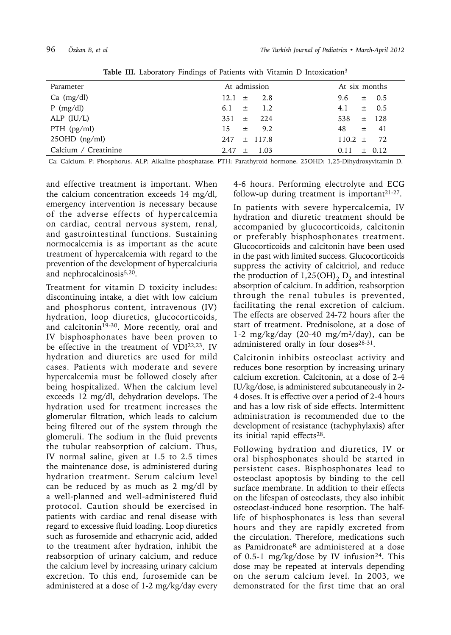| Parameter            | At admission     | At six months      |
|----------------------|------------------|--------------------|
| Ca $(mg/dl)$         | $12.1 \pm 2.8$   | $\pm$ 0.5<br>9.6   |
| $P$ (mg/dl)          | 1.2<br>6.1 $\pm$ | $\pm$ 0.5<br>4.1   |
| ALP $(IU/L)$         | $351 \pm 224$    | $\pm$ 128<br>538   |
| PTH $(pg/ml)$        | $15 \pm 9.2$     | 48<br>$\pm$ 41     |
| $25OHD$ (ng/ml)      | $247 \pm 117.8$  | 72<br>110.2 $\pm$  |
| Calcium / Creatinine | $2.47 \pm 1.03$  | $\pm$ 0.12<br>0.11 |

Table III. Laboratory Findings of Patients with Vitamin D Intoxication<sup>3</sup>

Ca: Calcium. P: Phosphorus. ALP: Alkaline phosphatase. PTH: Parathyroid hormone. 25OHD: 1,25-Dihydroxyvitamin D.

and effective treatment is important. When the calcium concentration exceeds 14 mg/dl, emergency intervention is necessary because of the adverse effects of hypercalcemia on cardiac, central nervous system, renal, and gastrointestinal functions. Sustaining normocalcemia is as important as the acute treatment of hypercalcemia with regard to the prevention of the development of hypercalciuria and nephrocalcinosis<sup>5,20</sup>.

Treatment for vitamin D toxicity includes: discontinuing intake, a diet with low calcium and phosphorus content, intravenous (IV) hydration, loop diuretics, glucocorticoids, and calcitonin<sup>19-30</sup>. More recently, oral and IV bisphosphonates have been proven to be effective in the treatment of VDI<sup>22,23</sup>. IV hydration and diuretics are used for mild cases. Patients with moderate and severe hypercalcemia must be followed closely after being hospitalized. When the calcium level exceeds 12 mg/dl, dehydration develops. The hydration used for treatment increases the glomerular filtration, which leads to calcium being filtered out of the system through the glomeruli. The sodium in the fluid prevents the tubular reabsorption of calcium. Thus, IV normal saline, given at 1.5 to 2.5 times the maintenance dose, is administered during hydration treatment. Serum calcium level can be reduced by as much as 2 mg/dl by a well-planned and well-administered fluid protocol. Caution should be exercised in patients with cardiac and renal disease with regard to excessive fluid loading. Loop diuretics such as furosemide and ethacrynic acid, added to the treatment after hydration, inhibit the reabsorption of urinary calcium, and reduce the calcium level by increasing urinary calcium excretion. To this end, furosemide can be administered at a dose of 1-2 mg/kg/day every 4-6 hours. Performing electrolyte and ECG follow-up during treatment is important $21-27$ .

In patients with severe hypercalcemia, IV hydration and diuretic treatment should be accompanied by glucocorticoids, calcitonin or preferably bisphosphonates treatment. Glucocorticoids and calcitonin have been used in the past with limited success. Glucocorticoids suppress the activity of calcitriol, and reduce the production of  $1,25(OH)$ <sub>2</sub> D<sub>2</sub> and intestinal absorption of calcium. In addition, reabsorption through the renal tubules is prevented, facilitating the renal excretion of calcium. The effects are observed 24-72 hours after the start of treatment. Prednisolone, at a dose of 1-2 mg/kg/day (20-40 mg/m $^{2}$ /day), can be administered orally in four doses<sup>28-31</sup>.

Calcitonin inhibits osteoclast activity and reduces bone resorption by increasing urinary calcium excretion. Calcitonin, at a dose of 2-4 IU/kg/dose, is administered subcutaneously in 2- 4 doses. It is effective over a period of 2-4 hours and has a low risk of side effects. Intermittent administration is recommended due to the development of resistance (tachyphylaxis) after its initial rapid effects<sup>28</sup>.

Following hydration and diuretics, IV or oral bisphosphonates should be started in persistent cases. Bisphosphonates lead to osteoclast apoptosis by binding to the cell surface membrane. In addition to their effects on the lifespan of osteoclasts, they also inhibit osteoclast-induced bone resorption. The halflife of bisphosphonates is less than several hours and they are rapidly excreted from the circulation. Therefore, medications such as Pamidronate<sup>R</sup> are administered at a dose of 0.5-1 mg/kg/dose by IV infusion<sup>24</sup>. This dose may be repeated at intervals depending on the serum calcium level. In 2003, we demonstrated for the first time that an oral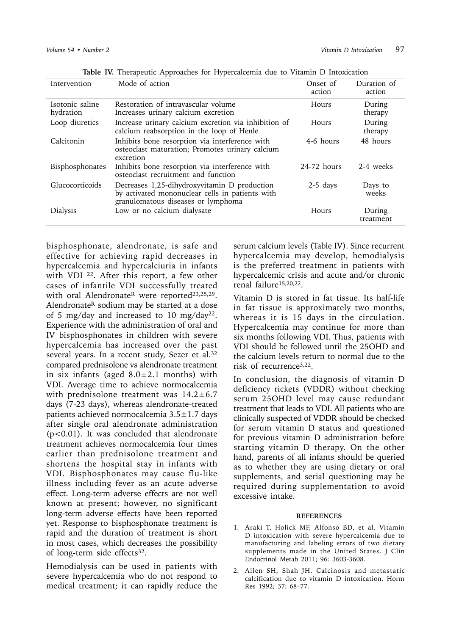| Intervention                 | Mode of action                                                                                                                        | Onset of<br>action | Duration of<br>action |
|------------------------------|---------------------------------------------------------------------------------------------------------------------------------------|--------------------|-----------------------|
| Isotonic saline<br>hydration | Restoration of intravascular volume<br>Increases urinary calcium excretion                                                            | Hours              | During<br>therapy     |
| Loop diuretics               | Increase urinary calcium excretion via inhibition of<br>calcium reabsorption in the loop of Henle                                     | Hours              | During<br>therapy     |
| Calcitonin                   | Inhibits bone resorption via interference with<br>osteoclast maturation; Promotes urinary calcium<br>excretion                        | 4-6 hours          | 48 hours              |
| <b>Bisphosphonates</b>       | Inhibits bone resorption via interference with<br>osteoclast recruitment and function                                                 | $24-72$ hours      | 2-4 weeks             |
| Glucocorticoids              | Decreases 1,25-dihydroxyvitamin D production<br>by activated mononuclear cells in patients with<br>granulomatous diseases or lymphoma | $2-5$ days         | Days to<br>weeks      |
| Dialysis                     | Low or no calcium dialysate                                                                                                           | Hours              | During<br>treatment   |

**Table IV.** Therapeutic Approaches for Hypercalcemia due to Vitamin D Intoxication

bisphosphonate, alendronate, is safe and effective for achieving rapid decreases in hypercalcemia and hypercalciuria in infants with VDI<sup>22</sup>. After this report, a few other cases of infantile VDI successfully treated with oral Alendronate<sup>R</sup> were reported<sup>23,25,29</sup>. Alendronate<sup>R</sup> sodium may be started at a dose of 5 mg/day and increased to 10 mg/day22. Experience with the administration of oral and IV bisphosphonates in children with severe hypercalcemia has increased over the past several years. In a recent study, Sezer et al.<sup>32</sup> compared prednisolone vs alendronate treatment in six infants (aged  $8.0 \pm 2.1$  months) with VDI. Average time to achieve normocalcemia with prednisolone treatment was  $14.2 \pm 6.7$ days (7-23 days), whereas alendronate-treated patients achieved normocalcemia  $3.5 \pm 1.7$  days after single oral alendronate administration (p<0.01). It was concluded that alendronate treatment achieves normocalcemia four times earlier than prednisolone treatment and shortens the hospital stay in infants with VDI. Bisphosphonates may cause flu-like illness including fever as an acute adverse effect. Long-term adverse effects are not well known at present; however, no significant long-term adverse effects have been reported yet. Response to bisphosphonate treatment is rapid and the duration of treatment is short in most cases, which decreases the possibility of long-term side effects<sup>32</sup>.

Hemodialysis can be used in patients with severe hypercalcemia who do not respond to medical treatment; it can rapidly reduce the

serum calcium levels (Table IV). Since recurrent hypercalcemia may develop, hemodialysis is the preferred treatment in patients with hypercalcemic crisis and acute and/or chronic renal failure15,20,22.

Vitamin D is stored in fat tissue. Its half-life in fat tissue is approximately two months, whereas it is 15 days in the circulation. Hypercalcemia may continue for more than six months following VDI. Thus, patients with VDI should be followed until the 25OHD and the calcium levels return to normal due to the risk of recurrence3,22.

In conclusion, the diagnosis of vitamin D deficiency rickets (VDDR) without checking serum 25OHD level may cause redundant treatment that leads to VDI. All patients who are clinically suspected of VDDR should be checked for serum vitamin D status and questioned for previous vitamin D administration before starting vitamin D therapy. On the other hand, parents of all infants should be queried as to whether they are using dietary or oral supplements, and serial questioning may be required during supplementation to avoid excessive intake.

### **REFERENCES**

- 1. Araki T, Holick MF, Alfonso BD, et al. Vitamin D intoxication with severe hypercalcemia due to manufacturing and labeling errors of two dietary supplements made in the United States. J Clin Endocrinol Metab 2011; 96: 3603-3608.
- 2. Allen SH, Shah JH. Calcinosis and metastatic calcification due to vitamin D intoxication. Horm Res 1992; 37: 68–77.